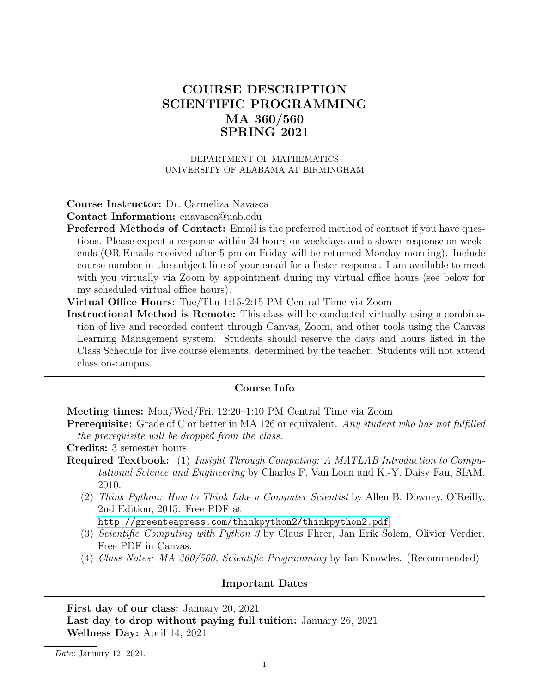# COURSE DESCRIPTION SCIENTIFIC PROGRAMMING MA 360/560 SPRING 2021

#### DEPARTMENT OF MATHEMATICS UNIVERSITY OF ALABAMA AT BIRMINGHAM

#### Course Instructor: Dr. Carmeliza Navasca

Contact Information: cnavasca@uab.edu

- Preferred Methods of Contact: Email is the preferred method of contact if you have questions. Please expect a response within 24 hours on weekdays and a slower response on weekends (OR Emails received after 5 pm on Friday will be returned Monday morning). Include course number in the subject line of your email for a faster response. I am available to meet with you virtually via Zoom by appointment during my virtual office hours (see below for my scheduled virtual office hours).
- Virtual Office Hours: Tue/Thu 1:15-2:15 PM Central Time via Zoom
- Instructional Method is Remote: This class will be conducted virtually using a combination of live and recorded content through Canvas, Zoom, and other tools using the Canvas Learning Management system. Students should reserve the days and hours listed in the Class Schedule for live course elements, determined by the teacher. Students will not attend class on-campus.

#### Course Info

Meeting times: Mon/Wed/Fri, 12:20–1:10 PM Central Time via Zoom

Prerequisite: Grade of C or better in MA 126 or equivalent. Any student who has not fulfilled the prerequisite will be dropped from the class.

Credits: 3 semester hours

- Required Textbook: (1) Insight Through Computing: A MATLAB Introduction to Computational Science and Engineering by Charles F. Van Loan and K.-Y. Daisy Fan, SIAM, 2010.
	- (2) Think Python: How to Think Like a Computer Scientist by Allen B. Downey, O'Reilly, 2nd Edition, 2015. Free PDF at

<http://greenteapress.com/thinkpython2/thinkpython2.pdf>

- (3) Scientific Computing with Python 3 by Claus Fhrer, Jan Erik Solem, Olivier Verdier. Free PDF in Canvas.
- (4) Class Notes: MA 360/560, Scientific Programming by Ian Knowles. (Recommended)

#### Important Dates

First day of our class: January 20, 2021 Last day to drop without paying full tuition: January 26, 2021 Wellness Day: April 14, 2021

Date: January 12, 2021.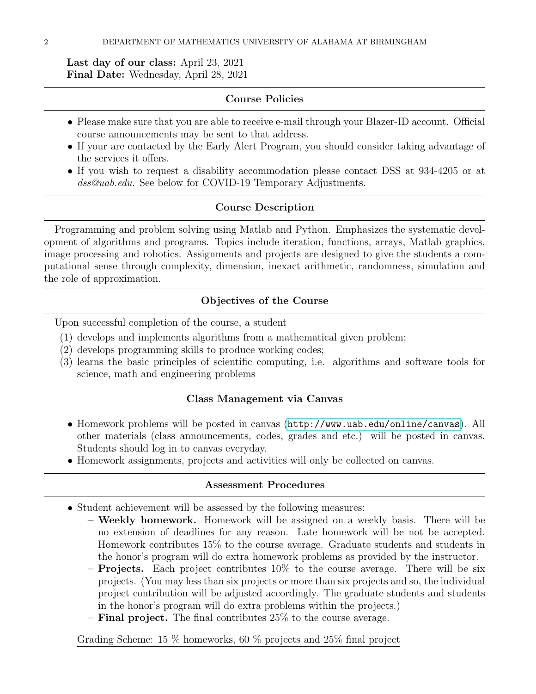Last day of our class: April 23, 2021 Final Date: Wednesday, April 28, 2021

# Course Policies

- Please make sure that you are able to receive e-mail through your Blazer-ID account. Official course announcements may be sent to that address.
- If your are contacted by the Early Alert Program, you should consider taking advantage of the services it offers.
- If you wish to request a disability accommodation please contact DSS at 934-4205 or at dss@uab.edu. See below for COVID-19 Temporary Adjustments.

## Course Description

Programming and problem solving using Matlab and Python. Emphasizes the systematic development of algorithms and programs. Topics include iteration, functions, arrays, Matlab graphics, image processing and robotics. Assignments and projects are designed to give the students a computational sense through complexity, dimension, inexact arithmetic, randomness, simulation and the role of approximation.

# Objectives of the Course

Upon successful completion of the course, a student

- (1) develops and implements algorithms from a mathematical given problem;
- (2) develops programming skills to produce working codes;
- (3) learns the basic principles of scientific computing, i.e. algorithms and software tools for science, math and engineering problems

### Class Management via Canvas

- Homework problems will be posted in canvas (<http://www.uab.edu/online/canvas>). All other materials (class announcements, codes, grades and etc.) will be posted in canvas. Students should log in to canvas everyday.
- Homework assignments, projects and activities will only be collected on canvas.

### Assessment Procedures

- Student achievement will be assessed by the following measures:
	- Weekly homework. Homework will be assigned on a weekly basis. There will be no extension of deadlines for any reason. Late homework will be not be accepted. Homework contributes 15% to the course average. Graduate students and students in the honor's program will do extra homework problems as provided by the instructor.
	- **Projects.** Each project contributes  $10\%$  to the course average. There will be six projects. (You may less than six projects or more than six projects and so, the individual project contribution will be adjusted accordingly. The graduate students and students in the honor's program will do extra problems within the projects.)
	- Final project. The final contributes 25% to the course average.

Grading Scheme: 15 % homeworks, 60 % projects and 25% final project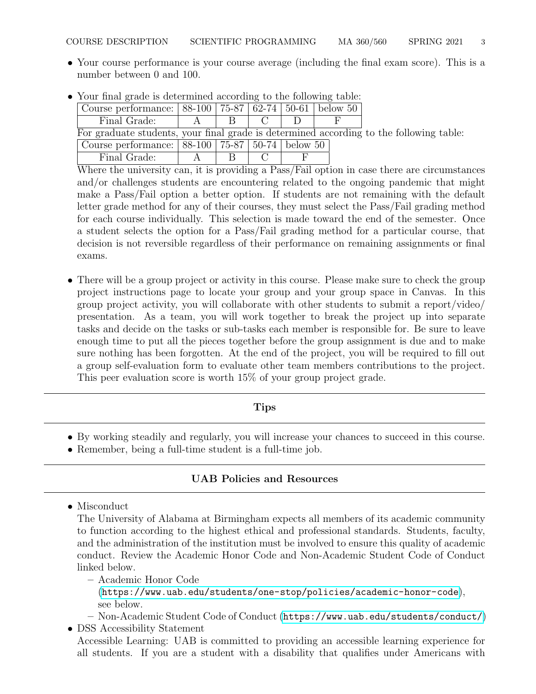• Your course performance is your course average (including the final exam score). This is a number between 0 and 100.

|                                                                                         | Course performance: $  88-100   75-87   62-74   50-61  $ below 50 |  |   |  |  |  |  |
|-----------------------------------------------------------------------------------------|-------------------------------------------------------------------|--|---|--|--|--|--|
|                                                                                         | Final Grade:                                                      |  | R |  |  |  |  |
| For graduate students, your final grade is determined according to the following table: |                                                                   |  |   |  |  |  |  |
|                                                                                         | Course performance:   88-100   75-87   50-74   below 50           |  |   |  |  |  |  |
|                                                                                         | Final Grade:                                                      |  |   |  |  |  |  |

• Your final grade is determined according to the following table:

Where the university can, it is providing a Pass/Fail option in case there are circumstances and/or challenges students are encountering related to the ongoing pandemic that might make a Pass/Fail option a better option. If students are not remaining with the default letter grade method for any of their courses, they must select the Pass/Fail grading method for each course individually. This selection is made toward the end of the semester. Once a student selects the option for a Pass/Fail grading method for a particular course, that decision is not reversible regardless of their performance on remaining assignments or final exams.

• There will be a group project or activity in this course. Please make sure to check the group project instructions page to locate your group and your group space in Canvas. In this group project activity, you will collaborate with other students to submit a report/video/ presentation. As a team, you will work together to break the project up into separate tasks and decide on the tasks or sub-tasks each member is responsible for. Be sure to leave enough time to put all the pieces together before the group assignment is due and to make sure nothing has been forgotten. At the end of the project, you will be required to fill out a group self-evaluation form to evaluate other team members contributions to the project. This peer evaluation score is worth 15% of your group project grade.

# Tips

- By working steadily and regularly, you will increase your chances to succeed in this course.
- Remember, being a full-time student is a full-time job.

# UAB Policies and Resources

• Misconduct

The University of Alabama at Birmingham expects all members of its academic community to function according to the highest ethical and professional standards. Students, faculty, and the administration of the institution must be involved to ensure this quality of academic conduct. Review the Academic Honor Code and Non-Academic Student Code of Conduct linked below.

– Academic Honor Code

(<https://www.uab.edu/students/one-stop/policies/academic-honor-code>), see below.

– Non-Academic Student Code of Conduct (<https://www.uab.edu/students/conduct/>)

• DSS Accessibility Statement Accessible Learning: UAB is committed to providing an accessible learning experience for all students. If you are a student with a disability that qualifies under Americans with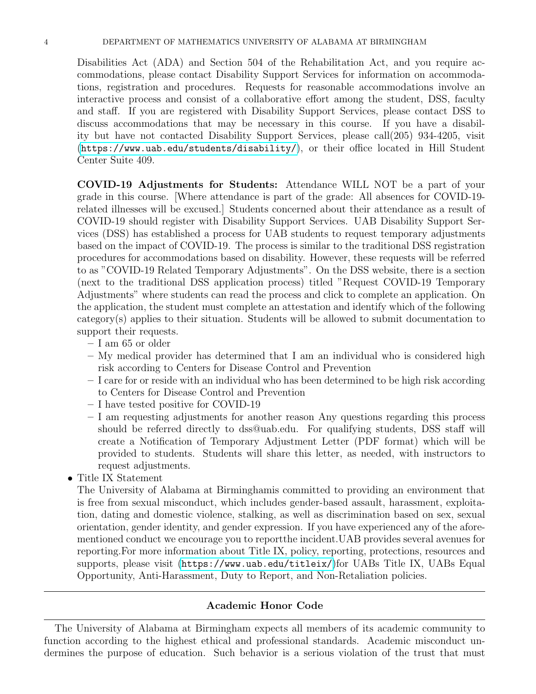Disabilities Act (ADA) and Section 504 of the Rehabilitation Act, and you require accommodations, please contact Disability Support Services for information on accommodations, registration and procedures. Requests for reasonable accommodations involve an interactive process and consist of a collaborative effort among the student, DSS, faculty and staff. If you are registered with Disability Support Services, please contact DSS to discuss accommodations that may be necessary in this course. If you have a disability but have not contacted Disability Support Services, please call(205) 934-4205, visit (<https://www.uab.edu/students/disability/>), or their office located in Hill Student Center Suite 409.

COVID-19 Adjustments for Students: Attendance WILL NOT be a part of your grade in this course. [Where attendance is part of the grade: All absences for COVID-19 related illnesses will be excused.] Students concerned about their attendance as a result of COVID-19 should register with Disability Support Services. UAB Disability Support Services (DSS) has established a process for UAB students to request temporary adjustments based on the impact of COVID-19. The process is similar to the traditional DSS registration procedures for accommodations based on disability. However, these requests will be referred to as "COVID-19 Related Temporary Adjustments". On the DSS website, there is a section (next to the traditional DSS application process) titled "Request COVID-19 Temporary Adjustments" where students can read the process and click to complete an application. On the application, the student must complete an attestation and identify which of the following category(s) applies to their situation. Students will be allowed to submit documentation to support their requests.

- I am 65 or older
- My medical provider has determined that I am an individual who is considered high risk according to Centers for Disease Control and Prevention
- I care for or reside with an individual who has been determined to be high risk according to Centers for Disease Control and Prevention
- I have tested positive for COVID-19
- I am requesting adjustments for another reason Any questions regarding this process should be referred directly to dss@uab.edu. For qualifying students, DSS staff will create a Notification of Temporary Adjustment Letter (PDF format) which will be provided to students. Students will share this letter, as needed, with instructors to request adjustments.
- Title IX Statement

The University of Alabama at Birminghamis committed to providing an environment that is free from sexual misconduct, which includes gender-based assault, harassment, exploitation, dating and domestic violence, stalking, as well as discrimination based on sex, sexual orientation, gender identity, and gender expression. If you have experienced any of the aforementioned conduct we encourage you to reportthe incident.UAB provides several avenues for reporting.For more information about Title IX, policy, reporting, protections, resources and supports, please visit (<https://www.uab.edu/titleix/>)for UABs Title IX, UABs Equal Opportunity, Anti-Harassment, Duty to Report, and Non-Retaliation policies.

### Academic Honor Code

The University of Alabama at Birmingham expects all members of its academic community to function according to the highest ethical and professional standards. Academic misconduct undermines the purpose of education. Such behavior is a serious violation of the trust that must